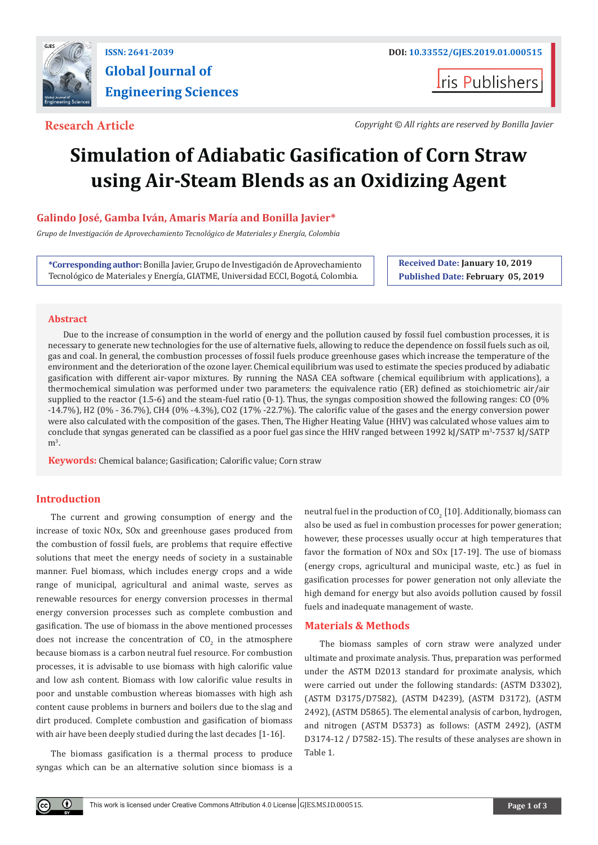

# **Global Journal of Engineering Sciences**

**Iris Publishers** 

**Research Article** *Copyright © All rights are reserved by Bonilla Javier* 

## **Simulation of Adiabatic Gasification of Corn Straw using Air-Steam Blends as an Oxidizing Agent**

### **Galindo José, Gamba Iván, Amaris María and Bonilla Javier\***

*Grupo de Investigación de Aprovechamiento Tecnológico de Materiales y Energía, Colombia*

**\*Corresponding author:** Bonilla Javier, Grupo de Investigación de Aprovechamiento Tecnológico de Materiales y Energía, GIATME, Universidad ECCI, Bogotá, Colombia.

**Received Date: January 10, 2019 Published Date: February 05, 2019**

#### **Abstract**

Due to the increase of consumption in the world of energy and the pollution caused by fossil fuel combustion processes, it is necessary to generate new technologies for the use of alternative fuels, allowing to reduce the dependence on fossil fuels such as oil, gas and coal. In general, the combustion processes of fossil fuels produce greenhouse gases which increase the temperature of the environment and the deterioration of the ozone layer. Chemical equilibrium was used to estimate the species produced by adiabatic gasification with different air-vapor mixtures. By running the NASA CEA software (chemical equilibrium with applications), a thermochemical simulation was performed under two parameters: the equivalence ratio (ER) defined as stoichiometric air/air supplied to the reactor (1.5-6) and the steam-fuel ratio (0-1). Thus, the syngas composition showed the following ranges: CO (0% -14.7%), H2 (0% - 36.7%), CH4 (0% -4.3%), CO2 (17% -22.7%). The calorific value of the gases and the energy conversion power were also calculated with the composition of the gases. Then, The Higher Heating Value (HHV) was calculated whose values aim to conclude that syngas generated can be classified as a poor fuel gas since the HHV ranged between 1992 kJ/SATP m<sup>3</sup>-7537 kJ/SATP  $m^3$ .

**Keywords:** Chemical balance; Gasification; Calorific value; Corn straw

#### **Introduction**

The current and growing consumption of energy and the increase of toxic NOx, SOx and greenhouse gases produced from the combustion of fossil fuels, are problems that require effective solutions that meet the energy needs of society in a sustainable manner. Fuel biomass, which includes energy crops and a wide range of municipal, agricultural and animal waste, serves as renewable resources for energy conversion processes in thermal energy conversion processes such as complete combustion and gasification. The use of biomass in the above mentioned processes does not increase the concentration of  $CO<sub>2</sub>$  in the atmosphere because biomass is a carbon neutral fuel resource. For combustion processes, it is advisable to use biomass with high calorific value and low ash content. Biomass with low calorific value results in poor and unstable combustion whereas biomasses with high ash content cause problems in burners and boilers due to the slag and dirt produced. Complete combustion and gasification of biomass with air have been deeply studied during the last decades [1-16].

The biomass gasification is a thermal process to produce syngas which can be an alternative solution since biomass is a

neutral fuel in the production of  $\mathsf{CO}_2^+(10)$ . Additionally, biomass can also be used as fuel in combustion processes for power generation; however, these processes usually occur at high temperatures that favor the formation of NOx and SOx [17-19]. The use of biomass (energy crops, agricultural and municipal waste, etc.) as fuel in gasification processes for power generation not only alleviate the high demand for energy but also avoids pollution caused by fossil fuels and inadequate management of waste.

#### **Materials & Methods**

The biomass samples of corn straw were analyzed under ultimate and proximate analysis. Thus, preparation was performed under the ASTM D2013 standard for proximate analysis, which were carried out under the following standards: (ASTM D3302), (ASTM D3175/D7582), (ASTM D4239), (ASTM D3172), (ASTM 2492), (ASTM D5865). The elemental analysis of carbon, hydrogen, and nitrogen (ASTM D5373) as follows: (ASTM 2492), (ASTM D3174-12 / D7582-15). The results of these analyses are shown in Table 1.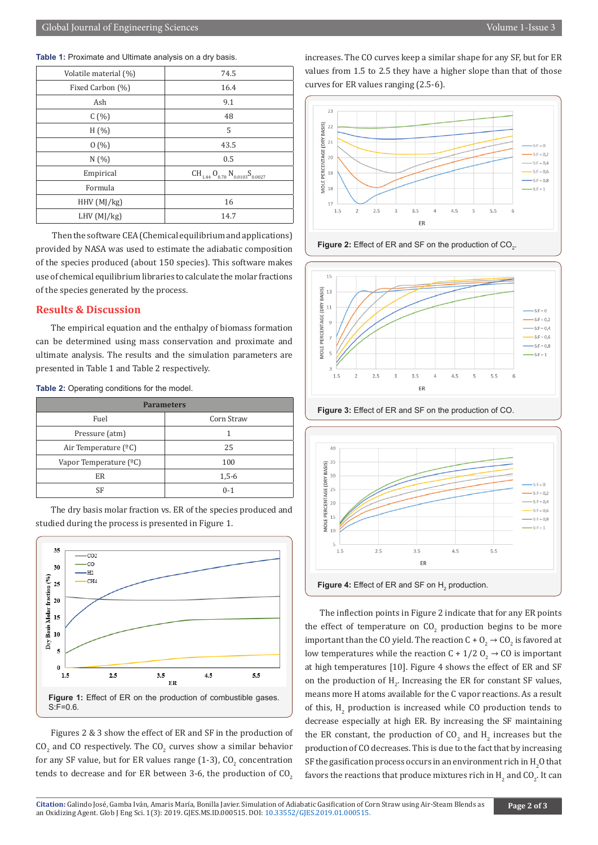| Table 1: Proximate and Ultimate analysis on a dry basis. |  |  |
|----------------------------------------------------------|--|--|
|----------------------------------------------------------|--|--|

| 74.5                                       |
|--------------------------------------------|
| 16.4                                       |
| 9.1                                        |
| 48                                         |
| 5                                          |
| 43.5                                       |
| 0.5                                        |
| $CH_{1.44} O_{0.78} N_{0.0103} S_{0.0027}$ |
|                                            |
| 16                                         |
| 14.7                                       |
|                                            |

 Then the software CEA (Chemical equilibrium and applications) provided by NASA was used to estimate the adiabatic composition of the species produced (about 150 species). This software makes use of chemical equilibrium libraries to calculate the molar fractions of the species generated by the process.

#### **Results & Discussion**

The empirical equation and the enthalpy of biomass formation can be determined using mass conservation and proximate and ultimate analysis. The results and the simulation parameters are presented in Table 1 and Table 2 respectively.

**Table 2:** Operating conditions for the model.

| <b>Parameters</b>               |            |  |  |  |  |
|---------------------------------|------------|--|--|--|--|
| Fuel                            | Corn Straw |  |  |  |  |
| Pressure (atm)                  |            |  |  |  |  |
| Air Temperature $(^{\circ}C)$   | 25         |  |  |  |  |
| Vapor Temperature $(^{\circ}C)$ | 100        |  |  |  |  |
| ER                              | $1,5-6$    |  |  |  |  |
| SF                              | $0 - 1$    |  |  |  |  |

The dry basis molar fraction vs. ER of the species produced and studied during the process is presented in Figure 1.



Figures 2 & 3 show the effect of ER and SF in the production of  $CO_2$  and CO respectively. The  $CO_2$  curves show a similar behavior for any SF value, but for ER values range (1-3),  $\text{CO}_2$  concentration tends to decrease and for ER between 3-6, the production of  $CO<sub>2</sub>$ 

increases. The CO curves keep a similar shape for any SF, but for ER values from 1.5 to 2.5 they have a higher slope than that of those curves for ER values ranging (2.5-6).











**Figure 4:** Effect of ER and SF on  $H_2$  production.

The inflection points in Figure 2 indicate that for any ER points the effect of temperature on  $\mathfrak{CO}_2$  production begins to be more important than the CO yield. The reaction C +  $\text{O}_2$   $\rightarrow$  CO<sub>2</sub> is favored at low temperatures while the reaction C +  $1/2$  O<sub>2</sub>  $\rightarrow$  CO is important at high temperatures [10]. Figure 4 shows the effect of ER and SF on the production of  $H_2$ . Increasing the ER for constant SF values, means more H atoms available for the C vapor reactions. As a result of this,  $H_2$  production is increased while CO production tends to decrease especially at high ER. By increasing the SF maintaining the ER constant, the production of  $CO_2$  and  $H_2$  increases but the production of CO decreases. This is due to the fact that by increasing SF the gasification process occurs in an environment rich in  $\rm H_2O$  that favors the reactions that produce mixtures rich in  $\text{H}_{\text{2}}$  and CO<sub>2</sub>. It can